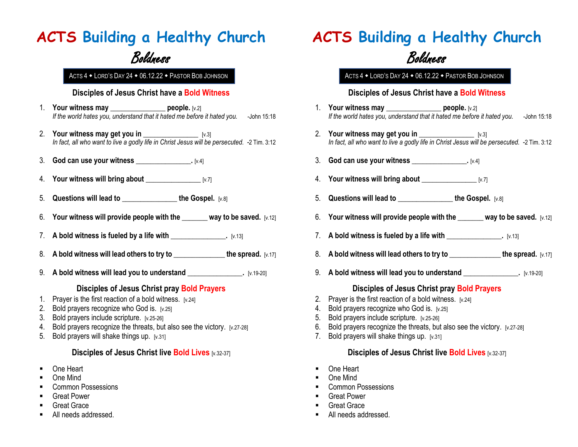## **ACTS Building a Healthy Church**

### Boldness

### **Disciples of Jesus Christ have a Bold Witness**

- 1. **Your witness may come people.** [v.2] *If the world hates you, understand that it hated me before it hated you.* -John 15:18
- 2. **Your witness may get you in \_\_\_\_\_\_\_\_\_\_\_\_\_\_\_** [v.3] *In fact, all who want to live a godly life in Christ Jesus will be persecuted. -*2 Tim. 3:12
- 3. **God can use your witness \_\_\_\_\_\_\_\_\_\_\_\_\_\_\_.** [v.4]
- 4. **Your witness will bring about \_\_\_\_\_\_\_\_\_\_\_\_\_\_\_** [v.7]
- 5. **Questions will lead to \_\_\_\_\_\_\_\_\_\_\_\_\_\_\_ the Gospel.** [v.8]
- 6. Your witness will provide people with the way to be saved.  $\frac{1}{2}$
- 7. **A bold witness is fueled by a life with \_\_\_\_\_\_\_\_\_\_\_\_\_\_\_.** [v.13]
- 8. A bold witness will lead others to try to the spread.  $[v.17]$
- 9. **A bold witness will lead you to understand [10]**  $\frac{1}{2}$  [v.19-20]

### **Disciples of Jesus Christ pray Bold Prayers**

- 1. Prayer is the first reaction of a bold witness. [v.24]
- 2. Bold prayers recognize who God is. [v.25]
- 3. Bold prayers include scripture. [v.25-26]
- 4. Bold prayers recognize the threats, but also see the victory. [v.27-28]
- 5. Bold prayers will shake things up.[v.31]

#### **Disciples of Jesus Christ live Bold Lives** [v.32-37]

- One Heart
- One Mind
- Common Possessions
- Great Power
- Great Grace
- **All needs addressed.**

### **ACTS Building a Healthy Church**

### Boldness

ACTS 4 . LORD'S DAY 24 . 06.12.22 . PASTOR BOB JOHNSON ACTS 4 . LORD'S DAY 24 . 06.12.22 . PASTOR BOB JOHNSON

#### **Disciples of Jesus Christ have a Bold Witness**

- 1. **Your witness may be people.** [v.2] *If the world hates you, understand that it hated me before it hated you.* -John 15:18
- 2. **Your witness may get you in**  $[v.3]$ *In fact, all who want to live a godly life in Christ Jesus will be persecuted.* -2 Tim. 3:12
- 3. **God can use your witness**  $[v.4]$
- 4. **Your witness will bring about \_\_\_\_\_\_\_\_\_\_\_\_\_\_\_** [v.7]
- 5. Questions will lead to **the Gospel.** [v.8]
- 6. Your witness will provide people with the way to be saved. [v.12]
- 7. **A bold witness is fueled by a life with <u>constant and setting</u> and**  $\begin{bmatrix} y.13 \end{bmatrix}$
- 8. A bold witness will lead others to try to **the spread.** [v.17]
- 9. **A bold witness will lead you to understand [1]** [v.19-20]

### **Disciples of Jesus Christ pray Bold Prayers**

- 2. Prayer is the first reaction of a bold witness.  $[v.24]$
- 4. Bold prayers recognize who God is. [v.25]
- 5. Bold prayers include scripture. [v.25-26]
- 6. Bold prayers recognize the threats, but also see the victory. [v.27-28]
- 7. Bold prayers will shake things up.[v.31]

### **Disciples of Jesus Christ live Bold Lives [v.32-37]**

- One Heart
- One Mind
- Common Possessions
- **Great Power**
- Great Grace
- **All needs addressed.**